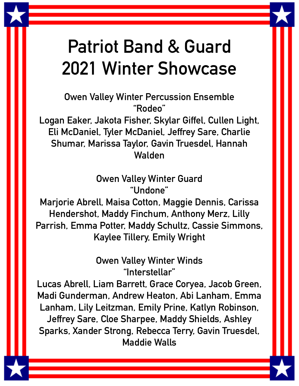## **Patriot Band & Guard 2021 Winter Showcase**

**Owen Valley Winter Percussion Ensemble "Rodeo"**

**Logan Eaker, Jakota Fisher, Skylar Giffel, Cullen Light, Eli McDaniel, Tyler McDaniel, Jeffrey Sare, Charlie Shumar, Marissa Taylor, Gavin Truesdel, Hannah Walden**

> **Owen Valley Winter Guard "Undone"**

**Marjorie Abrell, Maisa Cotton, Maggie Dennis, Carissa Hendershot, Maddy Finchum, Anthony Merz, Lilly Parrish, Emma Potter, Maddy Schultz, Cassie Simmons, Kaylee Tillery, Emily Wright**

> **Owen Valley Winter Winds "Interstellar"**

**Lucas Abrell, Liam Barrett, Grace Coryea, Jacob Green, Madi Gunderman, Andrew Heaton, Abi Lanham, Emma Lanham, Lily Leitzman, Emily Prine, Katlyn Robinson, Jeffrey Sare, Cloe Sharpee, Maddy Shields, Ashley Sparks, Xander Strong, Rebecca Terry, Gavin Truesdel, Maddie Walls**